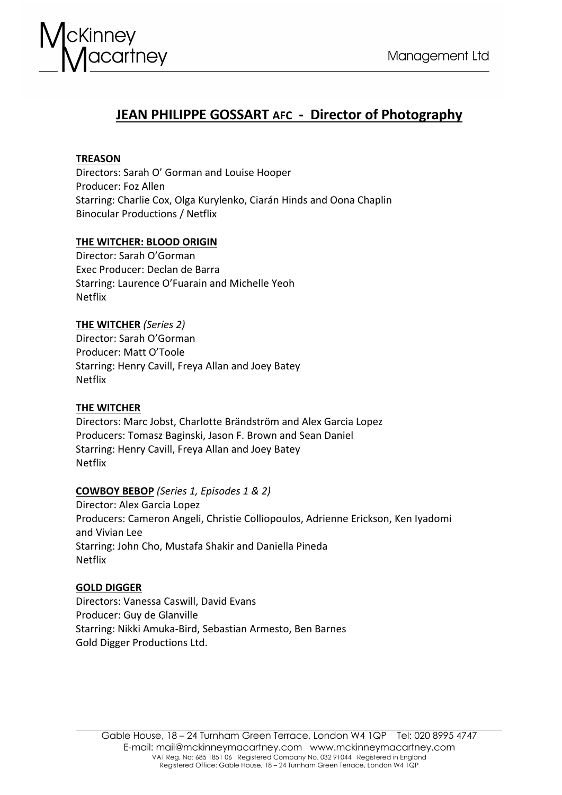

# **JEAN PHILIPPE GOSSART AFC - Director of Photography**

# **TREASON**

Directors: Sarah O' Gorman and Louise Hooper Producer: Foz Allen Starring: Charlie Cox, Olga Kurylenko, Ciarán Hinds and Oona Chaplin Binocular Productions / Netflix

# **THE WITCHER: BLOOD ORIGIN**

Director: Sarah O'Gorman Exec Producer: Declan de Barra Starring: Laurence O'Fuarain and Michelle Yeoh Netflix

**THE WITCHER** *(Series 2)* Director: Sarah O'Gorman Producer: Matt O'Toole Starring: Henry Cavill, Freya Allan and Joey Batey Netflix

# **THE WITCHER**

Directors: Marc Jobst, Charlotte Brändström and Alex Garcia Lopez Producers: Tomasz Baginski, Jason F. Brown and Sean Daniel Starring: Henry Cavill, Freya Allan and Joey Batey Netflix

# **COWBOY BEBOP** *(Series 1, Episodes 1 & 2)*

Director: Alex Garcia Lopez Producers: Cameron Angeli, Christie Colliopoulos, Adrienne Erickson, Ken Iyadomi and Vivian Lee Starring: John Cho, Mustafa Shakir and Daniella Pineda Netflix

# **GOLD DIGGER**

Directors: Vanessa Caswill, David Evans Producer: Guy de Glanville Starring: Nikki Amuka-Bird, Sebastian Armesto, Ben Barnes Gold Digger Productions Ltd.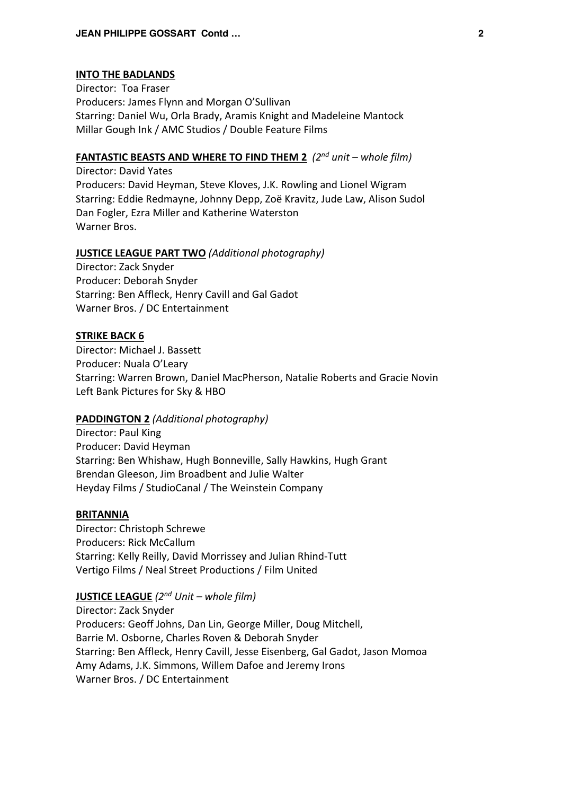#### **INTO THE BADLANDS**

Director: Toa Fraser Producers: James Flynn and Morgan O'Sullivan Starring: Daniel Wu, Orla Brady, Aramis Knight and Madeleine Mantock Millar Gough Ink / AMC Studios / Double Feature Films

# **FANTASTIC BEASTS AND WHERE TO FIND THEM 2** *(2nd unit – whole film)*

Director: David Yates Producers: David Heyman, Steve Kloves, J.K. Rowling and Lionel Wigram Starring: Eddie Redmayne, Johnny Depp, Zoë Kravitz, Jude Law, Alison Sudol Dan Fogler, Ezra Miller and Katherine Waterston Warner Bros.

# **JUSTICE LEAGUE PART TWO** *(Additional photography)*

Director: Zack Snyder Producer: Deborah Snyder Starring: Ben Affleck, Henry Cavill and Gal Gadot Warner Bros. / DC Entertainment

#### **STRIKE BACK 6**

Director: Michael J. Bassett Producer: Nuala O'Leary Starring: Warren Brown, Daniel MacPherson, Natalie Roberts and Gracie Novin Left Bank Pictures for Sky & HBO

# **PADDINGTON 2** *(Additional photography)*

Director: Paul King Producer: David Heyman Starring: Ben Whishaw, Hugh Bonneville, Sally Hawkins, Hugh Grant Brendan Gleeson, Jim Broadbent and Julie Walter Heyday Films / StudioCanal / The Weinstein Company

### **BRITANNIA**

Director: Christoph Schrewe Producers: Rick McCallum Starring: Kelly Reilly, David Morrissey and Julian Rhind-Tutt Vertigo Films / Neal Street Productions / Film United

# **JUSTICE LEAGUE** *(2nd Unit – whole film)*

Director: Zack Snyder Producers: Geoff Johns, Dan Lin, George Miller, Doug Mitchell, Barrie M. Osborne, Charles Roven & Deborah Snyder Starring: Ben Affleck, Henry Cavill, Jesse Eisenberg, Gal Gadot, Jason Momoa Amy Adams, J.K. Simmons, Willem Dafoe and Jeremy Irons Warner Bros. / DC Entertainment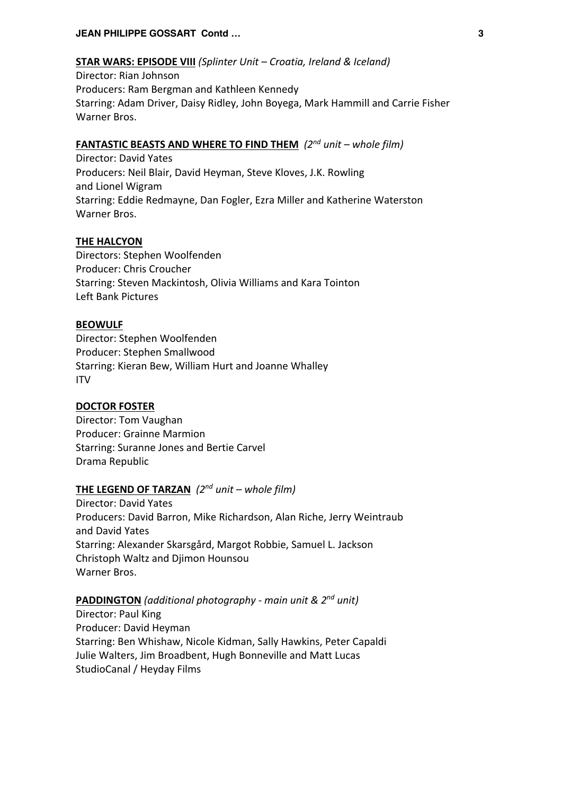### **JEAN PHILIPPE GOSSART Contd … 3**

# **STAR WARS: EPISODE VIII** *(Splinter Unit – Croatia, Ireland & Iceland)*

Director: Rian Johnson Producers: Ram Bergman and Kathleen Kennedy Starring: Adam Driver, Daisy Ridley, John Boyega, Mark Hammill and Carrie Fisher Warner Bros.

# **FANTASTIC BEASTS AND WHERE TO FIND THEM** *(2nd unit – whole film)*

Director: David Yates Producers: Neil Blair, David Heyman, Steve Kloves, J.K. Rowling and Lionel Wigram Starring: Eddie Redmayne, Dan Fogler, Ezra Miller and Katherine Waterston Warner Bros.

# **THE HALCYON**

Directors: Stephen Woolfenden Producer: Chris Croucher Starring: Steven Mackintosh, Olivia Williams and Kara Tointon Left Bank Pictures

# **BEOWULF**

Director: Stephen Woolfenden Producer: Stephen Smallwood Starring: Kieran Bew, William Hurt and Joanne Whalley ITV

### **DOCTOR FOSTER**

Director: Tom Vaughan Producer: Grainne Marmion Starring: Suranne Jones and Bertie Carvel Drama Republic

# **THE LEGEND OF TARZAN** *(2nd unit – whole film)*

Director: David Yates Producers: David Barron, Mike Richardson, Alan Riche, Jerry Weintraub and David Yates Starring: Alexander Skarsgård, Margot Robbie, Samuel L. Jackson Christoph Waltz and Djimon Hounsou Warner Bros.

# **PADDINGTON** *(additional photography - main unit & 2nd unit)*

Director: Paul King Producer: David Heyman Starring: Ben Whishaw, Nicole Kidman, Sally Hawkins, Peter Capaldi Julie Walters, Jim Broadbent, Hugh Bonneville and Matt Lucas StudioCanal / Heyday Films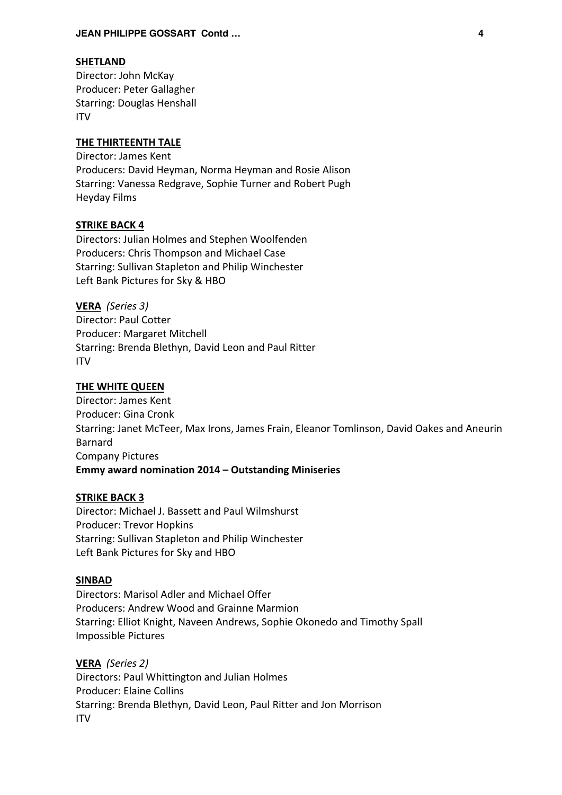#### **SHETLAND**

Director: John McKay Producer: Peter Gallagher Starring: Douglas Henshall ITV

# **THE THIRTEENTH TALE**

Director: James Kent Producers: David Heyman, Norma Heyman and Rosie Alison Starring: Vanessa Redgrave, Sophie Turner and Robert Pugh Heyday Films

### **STRIKE BACK 4**

Directors: Julian Holmes and Stephen Woolfenden Producers: Chris Thompson and Michael Case Starring: Sullivan Stapleton and Philip Winchester Left Bank Pictures for Sky & HBO

**VERA** *(Series 3)* Director: Paul Cotter Producer: Margaret Mitchell Starring: Brenda Blethyn, David Leon and Paul Ritter ITV

# **THE WHITE QUEEN**

Director: James Kent Producer: Gina Cronk Starring: Janet McTeer, Max Irons, James Frain, Eleanor Tomlinson, David Oakes and Aneurin Barnard Company Pictures **Emmy award nomination 2014 – Outstanding Miniseries**

#### **STRIKE BACK 3**

Director: Michael J. Bassett and Paul Wilmshurst Producer: Trevor Hopkins Starring: Sullivan Stapleton and Philip Winchester Left Bank Pictures for Sky and HBO

### **SINBAD**

Directors: Marisol Adler and Michael Offer Producers: Andrew Wood and Grainne Marmion Starring: Elliot Knight, Naveen Andrews, Sophie Okonedo and Timothy Spall Impossible Pictures

**VERA** *(Series 2)* Directors: Paul Whittington and Julian Holmes Producer: Elaine Collins Starring: Brenda Blethyn, David Leon, Paul Ritter and Jon Morrison ITV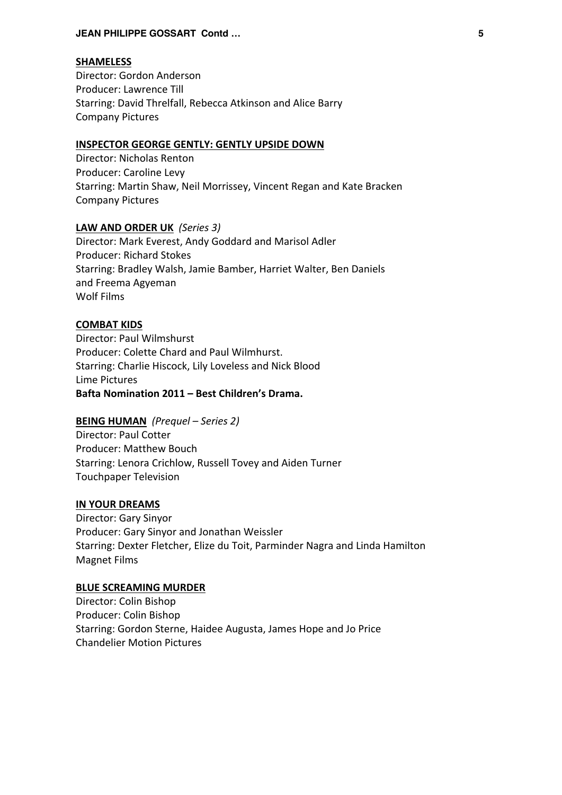### **JEAN PHILIPPE GOSSART Contd … 5**

### **SHAMELESS**

Director: Gordon Anderson Producer: Lawrence Till Starring: David Threlfall, Rebecca Atkinson and Alice Barry Company Pictures

# **INSPECTOR GEORGE GENTLY: GENTLY UPSIDE DOWN**

Director: Nicholas Renton Producer: Caroline Levy Starring: Martin Shaw, Neil Morrissey, Vincent Regan and Kate Bracken Company Pictures

# **LAW AND ORDER UK** *(Series 3)*

Director: Mark Everest, Andy Goddard and Marisol Adler Producer: Richard Stokes Starring: Bradley Walsh, Jamie Bamber, Harriet Walter, Ben Daniels and Freema Agyeman Wolf Films

# **COMBAT KIDS**

Director: Paul Wilmshurst Producer: Colette Chard and Paul Wilmhurst. Starring: Charlie Hiscock, Lily Loveless and Nick Blood Lime Pictures **Bafta Nomination 2011 – Best Children's Drama.**

# **BEING HUMAN** *(Prequel – Series 2)*

Director: Paul Cotter Producer: Matthew Bouch Starring: Lenora Crichlow, Russell Tovey and Aiden Turner Touchpaper Television

# **IN YOUR DREAMS**

Director: Gary Sinyor Producer: Gary Sinyor and Jonathan Weissler Starring: Dexter Fletcher, Elize du Toit, Parminder Nagra and Linda Hamilton Magnet Films

# **BLUE SCREAMING MURDER**

Director: Colin Bishop Producer: Colin Bishop Starring: Gordon Sterne, Haidee Augusta, James Hope and Jo Price Chandelier Motion Pictures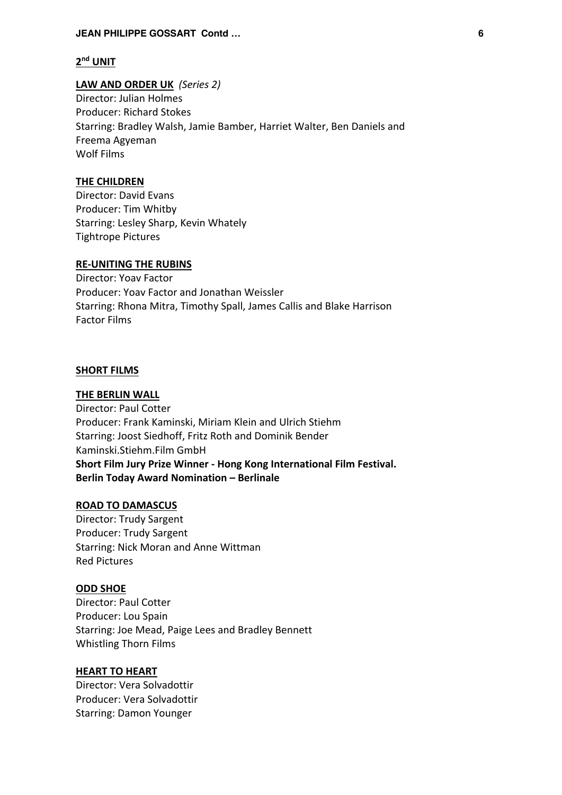#### **JEAN PHILIPPE GOSSART Contd … 6**

# **2nd UNIT**

**LAW AND ORDER UK** *(Series 2)* Director: Julian Holmes Producer: Richard Stokes Starring: Bradley Walsh, Jamie Bamber, Harriet Walter, Ben Daniels and Freema Agyeman Wolf Films

# **THE CHILDREN**

Director: David Evans Producer: Tim Whitby Starring: Lesley Sharp, Kevin Whately Tightrope Pictures

#### **RE-UNITING THE RUBINS**

Director: Yoav Factor Producer: Yoav Factor and Jonathan Weissler Starring: Rhona Mitra, Timothy Spall, James Callis and Blake Harrison Factor Films

### **SHORT FILMS**

#### **THE BERLIN WALL**

Director: Paul Cotter Producer: Frank Kaminski, Miriam Klein and Ulrich Stiehm Starring: Joost Siedhoff, Fritz Roth and Dominik Bender Kaminski.Stiehm.Film GmbH **Short Film Jury Prize Winner - Hong Kong International Film Festival. Berlin Today Award Nomination – Berlinale**

### **ROAD TO DAMASCUS**

Director: Trudy Sargent Producer: Trudy Sargent Starring: Nick Moran and Anne Wittman Red Pictures

# **ODD SHOE**

Director: Paul Cotter Producer: Lou Spain Starring: Joe Mead, Paige Lees and Bradley Bennett Whistling Thorn Films

# **HEART TO HEART**

Director: Vera Solvadottir Producer: Vera Solvadottir Starring: Damon Younger